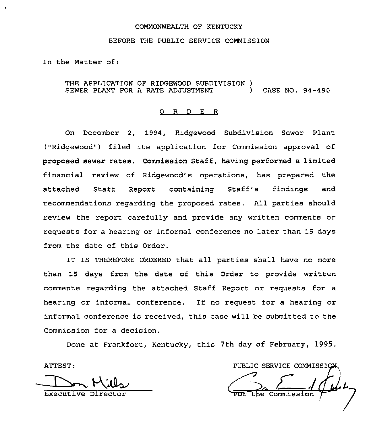## COMMONWEALTH OF KENTUCKY

### BEFORE THE PUBLIC SERVICE COMMISSION

In the Matter of:

## THE APPLICATION OF RIDGEWOOD SUBDIVISION ) SEWER PLANT FOR <sup>A</sup> RATE ADJUSTMENT ) CASE NO. 94-490

#### 0 <sup>R</sup> <sup>D</sup> E R

On December 2, 1994, Ridgewood Subdivision Sewer Plant ("Ridgewood") filed its application for Commission approval of proposed sewer rates. Commission Staff, having performed a limited financial review of Ridgewood's operations, has prepared the attached Staff Report containing Staff's findings and recommendations regarding the proposed rates. All parties should review the report carefully and provide any written comments or requests for a hearing or informal conference no later than 15 days from the date of this Order.

IT IS THEREFORE ORDERED that all parties shall have no more than 15 days from the date of this Order to provide written comments regarding the attached Staff Report or requests for a hearing or informal conference. If no request for <sup>a</sup> hearing or informal conference is received, this case will be submitted to the Commission for a decision.

Done at Frankfort, Kentucky, this 7th day of February, 1995.

Executive Di

ATTEST: PUBLIC SERVICE COMMISSION ssion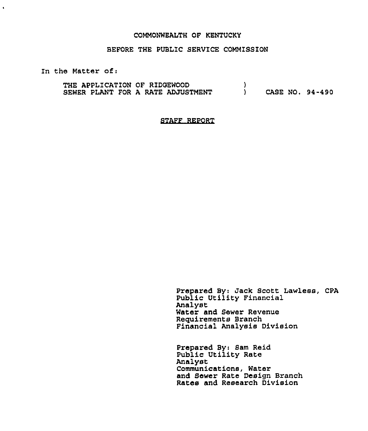#### COMMONWEALTH OF KENTUCKY

## BEFORE THE PUBLIC SERVICE COMMISSION

In the Matter of:

 $\bullet$ 

THE APPLICATION OF RIDQEWOOD SEWER PLANT FOR A RATE ADJUSTMENT ) ) CASE NO. 94-490

STAFF REPORT

Prepared By: Jack Scott Lawless, CPA Public Utility Financial Analyst Water and Sewer Revenue Requirements Branch Financial Analysis Division

Prepared By: Sam Raid Public Utility Rate Analyst Communications, Water and Sewer Rate Design Branch Rates and Research Division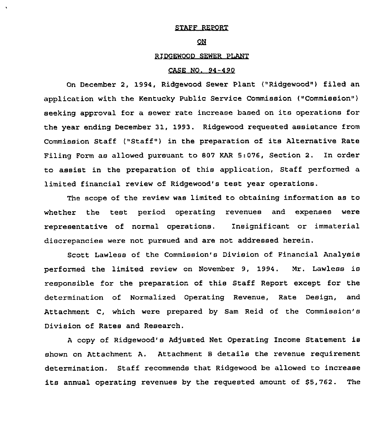## STAFF REPORT

#### $\overline{\mathsf{on}}$

## RIDGEWOOD SEWER PLANT

# CASE NO. 94-490

On December 2, 1994, Ridgewood Sewer Plant ("Ridgewood") filed an application with the Kentucky Public Service Commission ("Commission" ) seeking approval for a sewer rate increase based on its operations for the year ending December 31, 1993. Ridgewood requested assistance from Commission Staff ("Staff") in the preparation of its Alternative Rate Filing Form as allowed pursuant to 807 KAR 5:076, Section 2. In order to assist in the preparation of this application, Staff performed a limited financial review of Ridgewood's test year operations.

The scope of the review was limited to obtaining information as to whether the test period operating revenues and expenses were representative of normal operations. Insignificant or immaterial discrepancies were not pursued and are not addressed herein.

Scott Lawless of the Commission's Division of Financial Analysis performed the limited review on November 9, 1994. Mr. Lawless is responsible for the preparation of this Staff Report except for the determination of Normalized Operating Revenue, Rate Design, and Attachment C, which were prepared by Sam Reid of the Commission'B Division of Rates and Research.

<sup>A</sup> copy of Ridgewood's Adjusted Net Operating Income Statement is shown on Attachment A. Attachment <sup>B</sup> details the revenue requirement determination. Staff recommends that Ridgewood be allowed to increase its annual operating revenues by the requested amount of \$5,762. The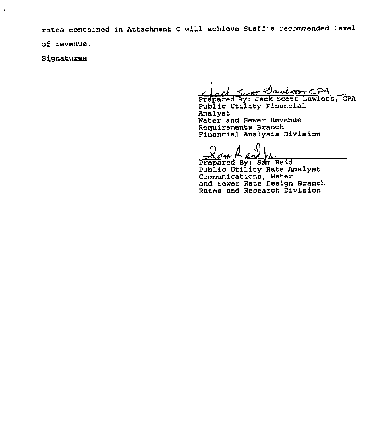rates contained in Attachment C will achieve Staff's recommended level

of revenue.

 $\ddot{\phantom{1}}$ 

Sianatures

ck Scott Clawlico CPA

Prepared By: Jack Scott Lawless, CPA Public Utility Financial Analyst Water and Sewer Revenue Requirements Branch Financial Analysis Division

Prepared By: Sam Reid Public Utility Rate Analyst Communications, Water and Sewer Rate Design Branch Rates and Research Divisio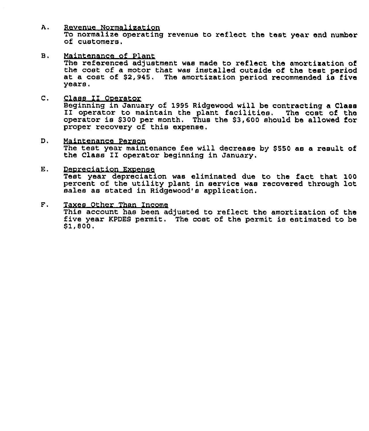- A. Revenue Normalization To normalize operating revenue to reflect the test year end number of customers.
- В. Maintenance of Plant The referenced adjustment was made to reflect the amortization of the cost of a motor that was installed outside of the test period at a cost of \$2,945. The amortization period recommended is five years.
- $\mathbf{C}$ . Class II Ooerator Beginning in January of <sup>1995</sup> Ridgewood will be contracting <sup>a</sup> Class II operator to maintain the plant facilities. The cost of the operator is \$300 per month. Thus the \$3,600 should be allowed for proper recovery of this expense.
- D. Maintenance Person The test year maintenance fee will decrease by \$550 as a result of the Class 1I operator beginning in January.
- Ε. Deoreciation Exoense Test year depreciation was eliminated due to the fact that 100 percent of the utility plant in service was recovered through lot sales as stated in Ridgewood's application.
- $F_{\perp}$ Taxes Other Than Income This account has been adjusted to reflect the amortization of the five year KPDES permit. The cost of the permit is estimated to be \$1,500.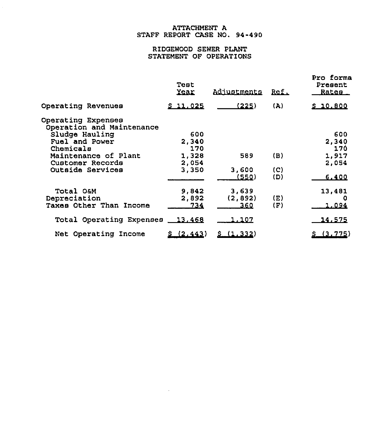# ATTACHMENT A STAFF REPORT CASE NO. 94-490

 $\hat{\mathcal{E}}$ 

# RIDGEWOOD SEWER PLANT STATEMENT OF OPERATIONS

|                                                 | Teat<br>Year | Adjustments   | <u>Ref.</u> | Pro forma<br>Present<br><u>Rates – </u> |
|-------------------------------------------------|--------------|---------------|-------------|-----------------------------------------|
| Operating Revenues                              | \$11.025     | (225)         | (A)         | \$10.800                                |
| Operating Expenses<br>Operation and Maintenance |              |               |             |                                         |
| Sludge Hauling                                  | 600          |               |             | 600                                     |
| Fuel and Power                                  | 2.340        |               |             | 2,340                                   |
| Chemicals                                       | 170          |               |             | 170                                     |
| Maintenance of Plant                            | 1,328        | 589           | (B)         | 1,917                                   |
| Customer Records                                | 2,054        |               |             | 2,054                                   |
| Outside Services                                | 3,350        | 3,600         | (C)         |                                         |
|                                                 |              | (550)         | (D)         | 6,400                                   |
| Total O&M                                       | 9,842        | 3,639         |             | 13,481                                  |
| Depreciation                                    | 2,892        | (2,892)       | (E)         |                                         |
| Taxes Other Than Income                         | 734          | 360           | (F)         | 1,094                                   |
| Total Operating Expenses 13,468                 |              | <u> 1.107</u> |             | 14,575                                  |
| Net Operating Income                            | (2.443)      | \$(1,332)     |             | \$(3.775)                               |
|                                                 |              |               |             |                                         |

 $\sim 10$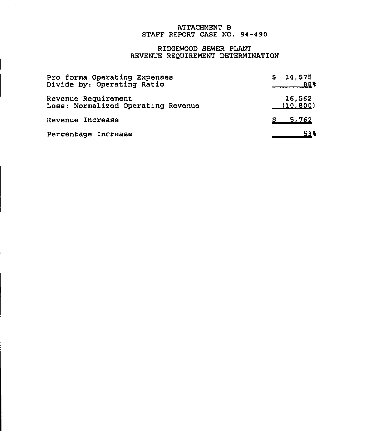# ATTACHMENT B STAFF REPORT CASE NO. 94-490

# RIDGEWOOD SEWER PLANT REVENUE REQUIREMENT DETERMINATION

| Pro forma Operating Expenses       | 14,575      |
|------------------------------------|-------------|
| Divide by: Operating Ratio         | 884         |
| Revenue Requirement                | 16,562      |
| Less: Normalized Operating Revenue | (10.800)    |
| Revenue Increase                   | $S = 5,762$ |
| Percentage Increase                | 53%         |

 $\mathcal{L}_{\rm{max}}$